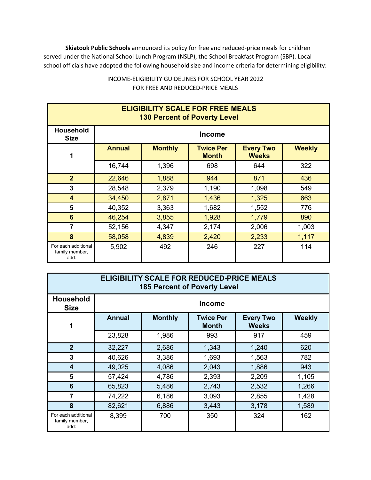**Skiatook Public Schools** announced its policy for free and reduced-price meals for children served under the National School Lunch Program (NSLP), the School Breakfast Program (SBP). Local school officials have adopted the following household size and income criteria for determining eligibility:

| <b>ELIGIBILITY SCALE FOR FREE MEALS</b><br><b>130 Percent of Poverty Level</b> |               |                |                                  |                                  |               |  |  |  |
|--------------------------------------------------------------------------------|---------------|----------------|----------------------------------|----------------------------------|---------------|--|--|--|
| <b>Household</b><br><b>Size</b>                                                | <b>Income</b> |                |                                  |                                  |               |  |  |  |
| 1                                                                              | <b>Annual</b> | <b>Monthly</b> | <b>Twice Per</b><br><b>Month</b> | <b>Every Two</b><br><b>Weeks</b> | <b>Weekly</b> |  |  |  |
|                                                                                | 16,744        | 1,396          | 698                              | 644                              | 322           |  |  |  |
| 2 <sup>2</sup>                                                                 | 22,646        | 1,888          | 944                              | 871                              | 436           |  |  |  |
| 3                                                                              | 28,548        | 2,379          | 1,190                            | 1,098                            | 549           |  |  |  |
| $\overline{\mathbf{4}}$                                                        | 34,450        | 2,871          | 1,436                            | 1,325                            | 663           |  |  |  |
| 5                                                                              | 40,352        | 3,363          | 1,682                            | 1,552                            | 776           |  |  |  |
| $6\phantom{1}6$                                                                | 46,254        | 3,855          | 1,928                            | 1,779                            | 890           |  |  |  |
| $\overline{7}$                                                                 | 52,156        | 4,347          | 2,174                            | 2,006                            | 1,003         |  |  |  |
| 8                                                                              | 58,058        | 4,839          | 2,420                            | 2,233                            | 1,117         |  |  |  |
| For each additional<br>family member,<br>add:                                  | 5,902         | 492            | 246                              | 227                              | 114           |  |  |  |

## INCOME-ELIGIBILITY GUIDELINES FOR SCHOOL YEAR 2022 FOR FREE AND REDUCED-PRICE MEALS

| <b>ELIGIBILITY SCALE FOR REDUCED-PRICE MEALS</b><br><b>185 Percent of Poverty Level</b> |               |                |                                  |                                  |               |  |  |  |
|-----------------------------------------------------------------------------------------|---------------|----------------|----------------------------------|----------------------------------|---------------|--|--|--|
| <b>Household</b><br><b>Size</b>                                                         | <b>Income</b> |                |                                  |                                  |               |  |  |  |
| 1                                                                                       | <b>Annual</b> | <b>Monthly</b> | <b>Twice Per</b><br><b>Month</b> | <b>Every Two</b><br><b>Weeks</b> | <b>Weekly</b> |  |  |  |
|                                                                                         | 23,828        | 1,986          | 993                              | 917                              | 459           |  |  |  |
| $\overline{2}$                                                                          | 32,227        | 2,686          | 1,343                            | 1,240                            | 620           |  |  |  |
| 3                                                                                       | 40,626        | 3,386          | 1,693                            | 1,563                            | 782           |  |  |  |
| $\overline{\mathbf{4}}$                                                                 | 49,025        | 4,086          | 2,043                            | 1,886                            | 943           |  |  |  |
| 5                                                                                       | 57,424        | 4,786          | 2,393                            | 2,209                            | 1,105         |  |  |  |
| 6                                                                                       | 65,823        | 5,486          | 2,743                            | 2,532                            | 1,266         |  |  |  |
| 7                                                                                       | 74,222        | 6,186          | 3,093                            | 2,855                            | 1,428         |  |  |  |
| 8                                                                                       | 82,621        | 6,886          | 3,443                            | 3,178                            | 1,589         |  |  |  |
| For each additional<br>family member,<br>add:                                           | 8,399         | 700            | 350                              | 324                              | 162           |  |  |  |